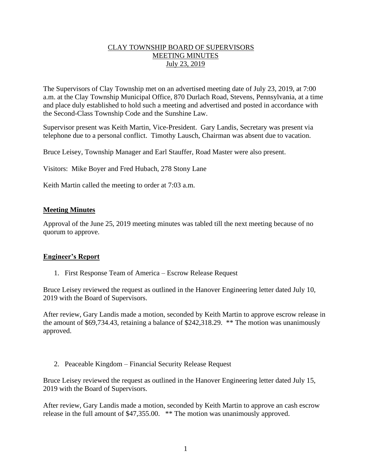## CLAY TOWNSHIP BOARD OF SUPERVISORS MEETING MINUTES July 23, 2019

The Supervisors of Clay Township met on an advertised meeting date of July 23, 2019, at 7:00 a.m. at the Clay Township Municipal Office, 870 Durlach Road, Stevens, Pennsylvania, at a time and place duly established to hold such a meeting and advertised and posted in accordance with the Second-Class Township Code and the Sunshine Law.

Supervisor present was Keith Martin, Vice-President. Gary Landis, Secretary was present via telephone due to a personal conflict. Timothy Lausch, Chairman was absent due to vacation.

Bruce Leisey, Township Manager and Earl Stauffer, Road Master were also present.

Visitors: Mike Boyer and Fred Hubach, 278 Stony Lane

Keith Martin called the meeting to order at 7:03 a.m.

## **Meeting Minutes**

Approval of the June 25, 2019 meeting minutes was tabled till the next meeting because of no quorum to approve.

#### **Engineer's Report**

1. First Response Team of America – Escrow Release Request

Bruce Leisey reviewed the request as outlined in the Hanover Engineering letter dated July 10, 2019 with the Board of Supervisors.

After review, Gary Landis made a motion, seconded by Keith Martin to approve escrow release in the amount of \$69,734.43, retaining a balance of \$242,318.29. \*\* The motion was unanimously approved.

2. Peaceable Kingdom – Financial Security Release Request

Bruce Leisey reviewed the request as outlined in the Hanover Engineering letter dated July 15, 2019 with the Board of Supervisors.

After review, Gary Landis made a motion, seconded by Keith Martin to approve an cash escrow release in the full amount of \$47,355.00. \*\* The motion was unanimously approved.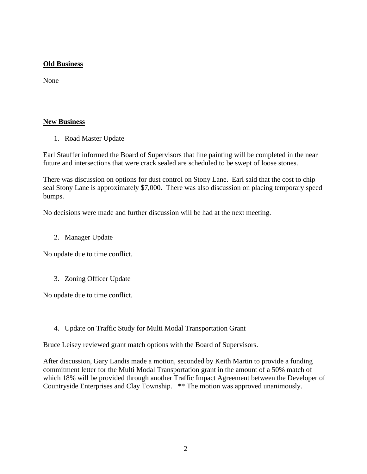# **Old Business**

None

# **New Business**

1. Road Master Update

Earl Stauffer informed the Board of Supervisors that line painting will be completed in the near future and intersections that were crack sealed are scheduled to be swept of loose stones.

There was discussion on options for dust control on Stony Lane. Earl said that the cost to chip seal Stony Lane is approximately \$7,000. There was also discussion on placing temporary speed bumps.

No decisions were made and further discussion will be had at the next meeting.

2. Manager Update

No update due to time conflict.

3. Zoning Officer Update

No update due to time conflict.

4. Update on Traffic Study for Multi Modal Transportation Grant

Bruce Leisey reviewed grant match options with the Board of Supervisors.

After discussion, Gary Landis made a motion, seconded by Keith Martin to provide a funding commitment letter for the Multi Modal Transportation grant in the amount of a 50% match of which 18% will be provided through another Traffic Impact Agreement between the Developer of Countryside Enterprises and Clay Township. \*\* The motion was approved unanimously.